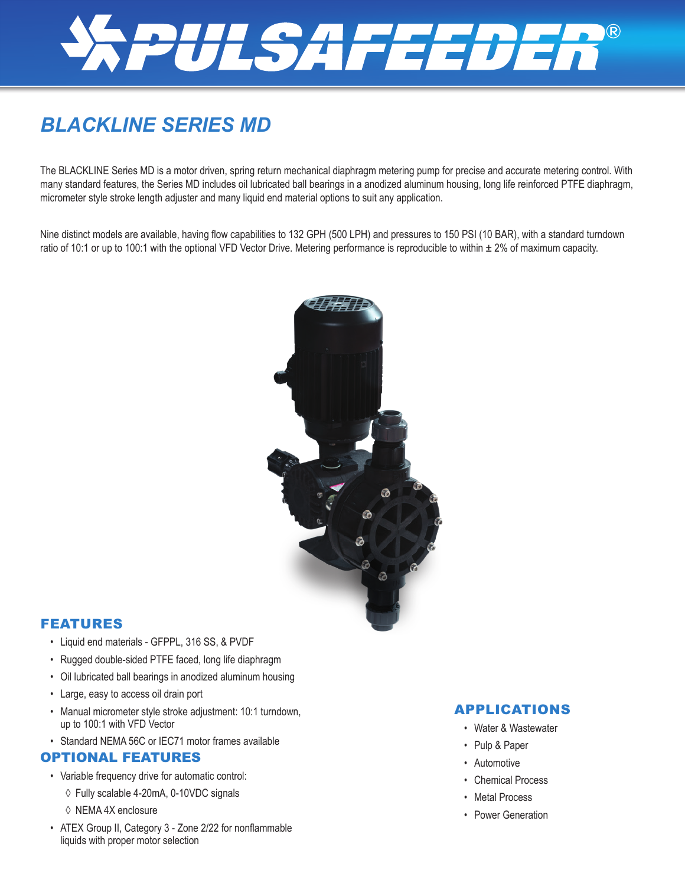

# *BLACKLINE SERIES MD*

The BLACKLINE Series MD is a motor driven, spring return mechanical diaphragm metering pump for precise and accurate metering control. With many standard features, the Series MD includes oil lubricated ball bearings in a anodized aluminum housing, long life reinforced PTFE diaphragm, micrometer style stroke length adjuster and many liquid end material options to suit any application.

Nine distinct models are available, having flow capabilities to 132 GPH (500 LPH) and pressures to 150 PSI (10 BAR), with a standard turndown ratio of 10:1 or up to 100:1 with the optional VFD Vector Drive. Metering performance is reproducible to within  $\pm 2\%$  of maximum capacity.



#### FEATURES

- Liquid end materials GFPPL, 316 SS, & PVDF
- Rugged double-sided PTFE faced, long life diaphragm
- Oil lubricated ball bearings in anodized aluminum housing
- Large, easy to access oil drain port
- Manual micrometer style stroke adjustment: 10:1 turndown, up to 100:1 with VFD Vector
- Standard NEMA 56C or IEC71 motor frames available

#### OPTIONAL FEATURES

- Variable frequency drive for automatic control:
	- ◊ Fully scalable 4-20mA, 0-10VDC signals
	- ◊ NEMA 4X enclosure
- ATEX Group II, Category 3 Zone 2/22 for nonflammable liquids with proper motor selection

#### APPLICATIONS

- Water & Wastewater
- Pulp & Paper
- Automotive
- Chemical Process
- Metal Process
- Power Generation